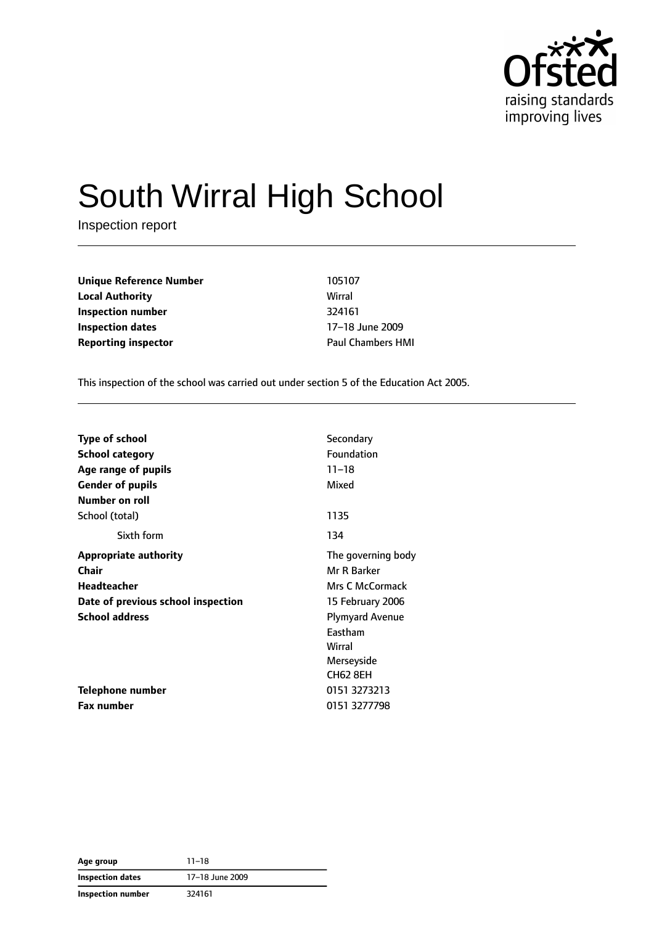

# South Wirral High School

Inspection report

**Unique Reference Number** 105107 **Local Authority** Wirral **Inspection number** 324161 **Inspection dates** 17–18 June 2009 **Reporting inspector CONSERVING PAUL CHAMPER HMI** 

This inspection of the school was carried out under section 5 of the Education Act 2005.

| <b>Type of school</b>              | Secondary              |
|------------------------------------|------------------------|
|                                    | Foundation             |
| <b>School category</b>             |                        |
| Age range of pupils                | $11 - 18$              |
| <b>Gender of pupils</b>            | Mixed                  |
| Number on roll                     |                        |
| School (total)                     | 1135                   |
| Sixth form                         | 134                    |
| <b>Appropriate authority</b>       | The governing body     |
| Chair                              | Mr R Barker            |
| Headteacher                        | Mrs C McCormack        |
| Date of previous school inspection | 15 February 2006       |
| <b>School address</b>              | <b>Plymyard Avenue</b> |
|                                    | Eastham                |
|                                    | Wirral                 |
|                                    | Merseyside             |
|                                    | <b>CH62 8EH</b>        |
| Telephone number                   | 0151 3273213           |
| <b>Fax number</b>                  | 0151 3277798           |

**Age group** 11–18 **Inspection dates** 17–18 June 2009 **Inspection number** 324161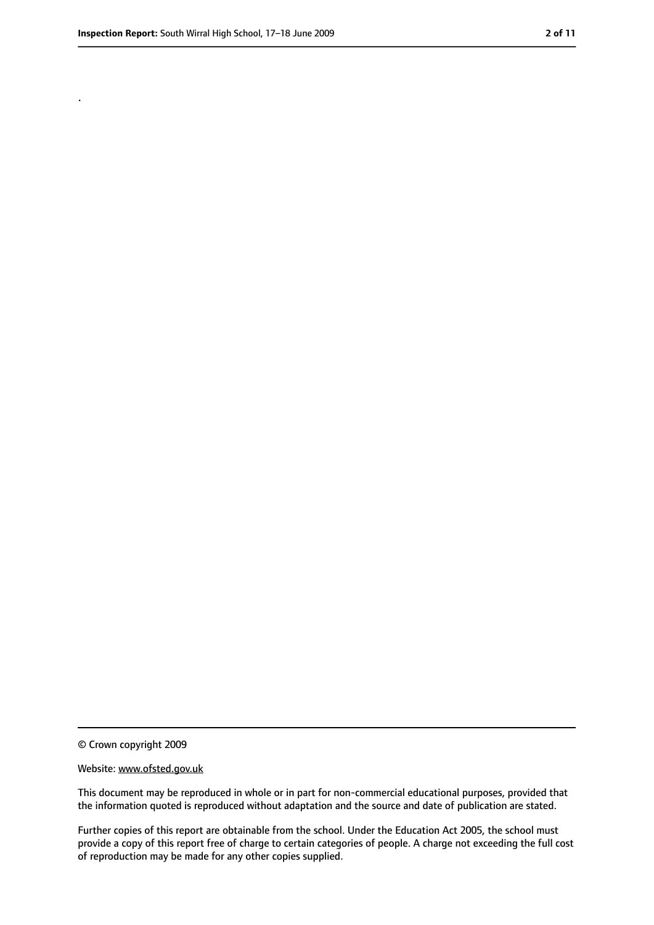.

<sup>©</sup> Crown copyright 2009

Website: www.ofsted.gov.uk

This document may be reproduced in whole or in part for non-commercial educational purposes, provided that the information quoted is reproduced without adaptation and the source and date of publication are stated.

Further copies of this report are obtainable from the school. Under the Education Act 2005, the school must provide a copy of this report free of charge to certain categories of people. A charge not exceeding the full cost of reproduction may be made for any other copies supplied.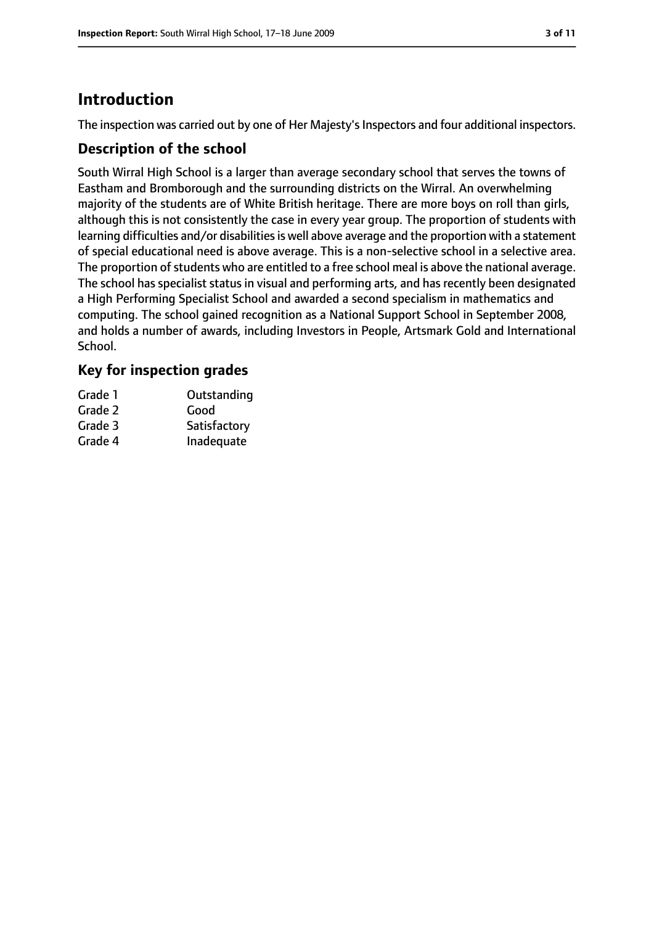## **Introduction**

The inspection was carried out by one of Her Majesty's Inspectors and four additional inspectors.

#### **Description of the school**

South Wirral High School is a larger than average secondary school that serves the towns of Eastham and Bromborough and the surrounding districts on the Wirral. An overwhelming majority of the students are of White British heritage. There are more boys on roll than girls, although this is not consistently the case in every year group. The proportion of students with learning difficulties and/or disabilities is well above average and the proportion with a statement of special educational need is above average. This is a non-selective school in a selective area. The proportion of students who are entitled to a free school meal is above the national average. The school has specialist status in visual and performing arts, and has recently been designated a High Performing Specialist School and awarded a second specialism in mathematics and computing. The school gained recognition as a National Support School in September 2008, and holds a number of awards, including Investors in People, Artsmark Gold and International School.

#### **Key for inspection grades**

| Grade 1 | Outstanding  |
|---------|--------------|
| Grade 2 | Good         |
| Grade 3 | Satisfactory |
| Grade 4 | Inadequate   |
|         |              |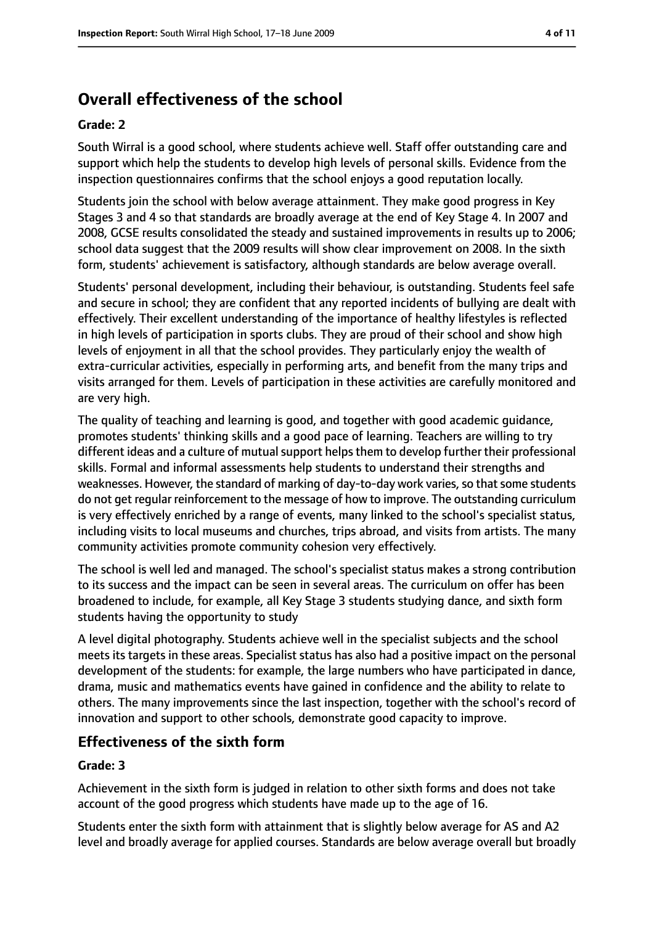# **Overall effectiveness of the school**

#### **Grade: 2**

South Wirral is a good school, where students achieve well. Staff offer outstanding care and support which help the students to develop high levels of personal skills. Evidence from the inspection questionnaires confirms that the school enjoys a good reputation locally.

Students join the school with below average attainment. They make good progress in Key Stages 3 and 4 so that standards are broadly average at the end of Key Stage 4. In 2007 and 2008, GCSE results consolidated the steady and sustained improvements in results up to 2006; school data suggest that the 2009 results will show clear improvement on 2008. In the sixth form, students' achievement is satisfactory, although standards are below average overall.

Students' personal development, including their behaviour, is outstanding. Students feel safe and secure in school; they are confident that any reported incidents of bullying are dealt with effectively. Their excellent understanding of the importance of healthy lifestyles is reflected in high levels of participation in sports clubs. They are proud of their school and show high levels of enjoyment in all that the school provides. They particularly enjoy the wealth of extra-curricular activities, especially in performing arts, and benefit from the many trips and visits arranged for them. Levels of participation in these activities are carefully monitored and are very high.

The quality of teaching and learning is good, and together with good academic guidance, promotes students' thinking skills and a good pace of learning. Teachers are willing to try different ideas and a culture of mutual support helps them to develop further their professional skills. Formal and informal assessments help students to understand their strengths and weaknesses. However, the standard of marking of day-to-day work varies, so that some students do not get regular reinforcement to the message of how to improve. The outstanding curriculum is very effectively enriched by a range of events, many linked to the school's specialist status, including visits to local museums and churches, trips abroad, and visits from artists. The many community activities promote community cohesion very effectively.

The school is well led and managed. The school's specialist status makes a strong contribution to its success and the impact can be seen in several areas. The curriculum on offer has been broadened to include, for example, all Key Stage 3 students studying dance, and sixth form students having the opportunity to study

A level digital photography. Students achieve well in the specialist subjects and the school meets its targets in these areas. Specialist status has also had a positive impact on the personal development of the students: for example, the large numbers who have participated in dance, drama, music and mathematics events have gained in confidence and the ability to relate to others. The many improvements since the last inspection, together with the school's record of innovation and support to other schools, demonstrate good capacity to improve.

## **Effectiveness of the sixth form**

#### **Grade: 3**

Achievement in the sixth form is judged in relation to other sixth forms and does not take account of the good progress which students have made up to the age of 16.

Students enter the sixth form with attainment that is slightly below average for AS and A2 level and broadly average for applied courses. Standards are below average overall but broadly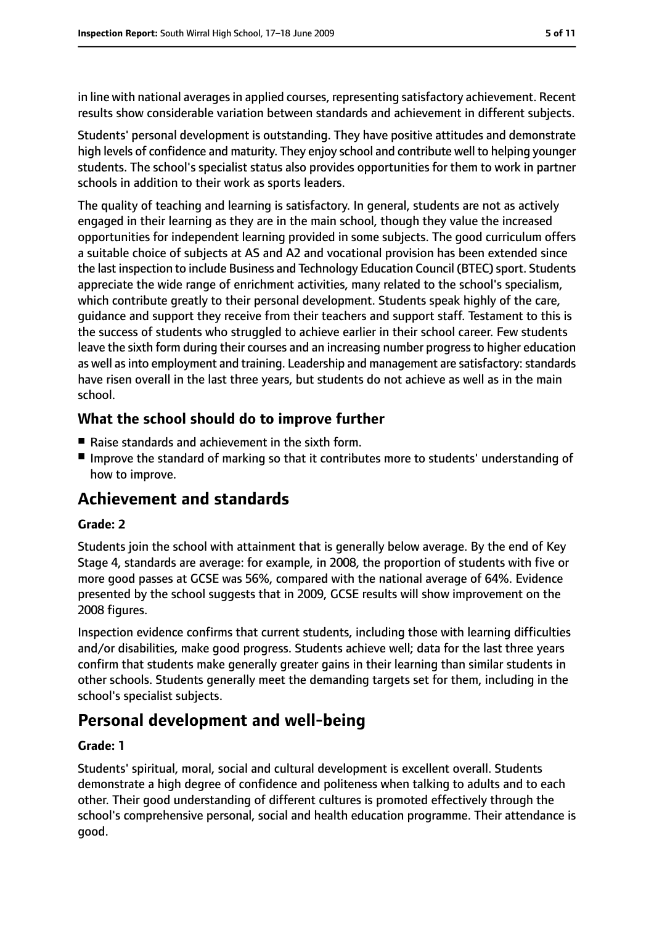in line with national averages in applied courses, representing satisfactory achievement. Recent results show considerable variation between standards and achievement in different subjects.

Students' personal development is outstanding. They have positive attitudes and demonstrate high levels of confidence and maturity. They enjoy school and contribute well to helping younger students. The school's specialist status also provides opportunities for them to work in partner schools in addition to their work as sports leaders.

The quality of teaching and learning is satisfactory. In general, students are not as actively engaged in their learning as they are in the main school, though they value the increased opportunities for independent learning provided in some subjects. The good curriculum offers a suitable choice of subjects at AS and A2 and vocational provision has been extended since the last inspection to include Business and Technology Education Council (BTEC) sport. Students appreciate the wide range of enrichment activities, many related to the school's specialism, which contribute greatly to their personal development. Students speak highly of the care, guidance and support they receive from their teachers and support staff. Testament to this is the success of students who struggled to achieve earlier in their school career. Few students leave the sixth form during their courses and an increasing number progressto higher education as well as into employment and training. Leadership and management are satisfactory: standards have risen overall in the last three years, but students do not achieve as well as in the main school.

#### **What the school should do to improve further**

- Raise standards and achievement in the sixth form.
- Improve the standard of marking so that it contributes more to students' understanding of how to improve.

## **Achievement and standards**

#### **Grade: 2**

Students join the school with attainment that is generally below average. By the end of Key Stage 4, standards are average: for example, in 2008, the proportion of students with five or more good passes at GCSE was 56%, compared with the national average of 64%. Evidence presented by the school suggests that in 2009, GCSE results will show improvement on the 2008 figures.

Inspection evidence confirms that current students, including those with learning difficulties and/or disabilities, make good progress. Students achieve well; data for the last three years confirm that students make generally greater gains in their learning than similar students in other schools. Students generally meet the demanding targets set for them, including in the school's specialist subjects.

## **Personal development and well-being**

#### **Grade: 1**

Students' spiritual, moral, social and cultural development is excellent overall. Students demonstrate a high degree of confidence and politeness when talking to adults and to each other. Their good understanding of different cultures is promoted effectively through the school's comprehensive personal, social and health education programme. Their attendance is good.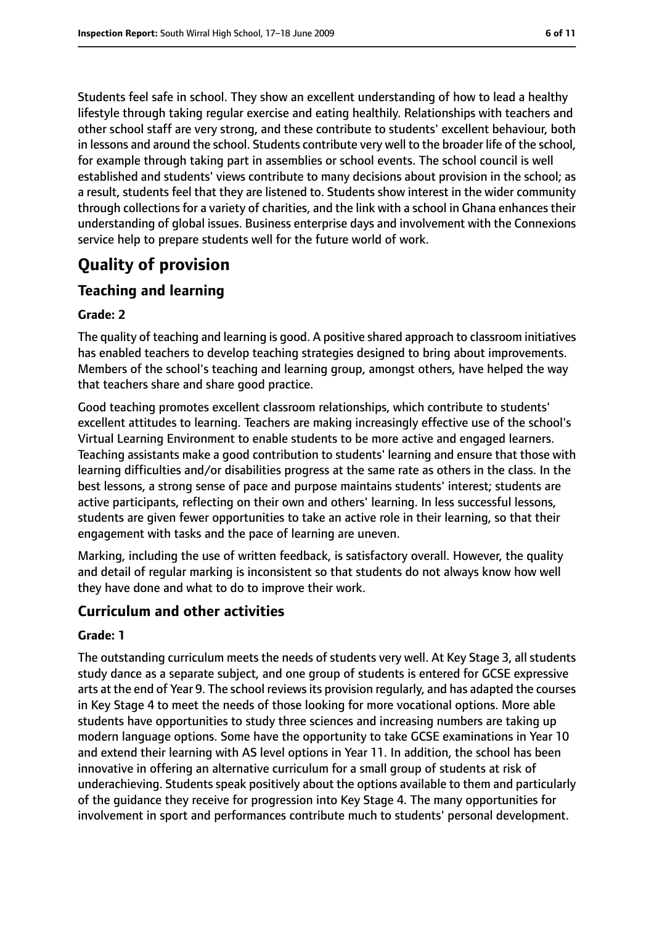Students feel safe in school. They show an excellent understanding of how to lead a healthy lifestyle through taking regular exercise and eating healthily. Relationships with teachers and other school staff are very strong, and these contribute to students' excellent behaviour, both in lessons and around the school. Students contribute very well to the broader life of the school, for example through taking part in assemblies or school events. The school council is well established and students' views contribute to many decisions about provision in the school; as a result, students feel that they are listened to. Students show interest in the wider community through collections for a variety of charities, and the link with a school in Ghana enhances their understanding of global issues. Business enterprise days and involvement with the Connexions service help to prepare students well for the future world of work.

## **Quality of provision**

## **Teaching and learning**

#### **Grade: 2**

The quality of teaching and learning is good. A positive shared approach to classroom initiatives has enabled teachers to develop teaching strategies designed to bring about improvements. Members of the school's teaching and learning group, amongst others, have helped the way that teachers share and share good practice.

Good teaching promotes excellent classroom relationships, which contribute to students' excellent attitudes to learning. Teachers are making increasingly effective use of the school's Virtual Learning Environment to enable students to be more active and engaged learners. Teaching assistants make a good contribution to students' learning and ensure that those with learning difficulties and/or disabilities progress at the same rate as others in the class. In the best lessons, a strong sense of pace and purpose maintains students' interest; students are active participants, reflecting on their own and others' learning. In less successful lessons, students are given fewer opportunities to take an active role in their learning, so that their engagement with tasks and the pace of learning are uneven.

Marking, including the use of written feedback, is satisfactory overall. However, the quality and detail of regular marking is inconsistent so that students do not always know how well they have done and what to do to improve their work.

## **Curriculum and other activities**

#### **Grade: 1**

The outstanding curriculum meets the needs of students very well. At Key Stage 3, all students study dance as a separate subject, and one group of students is entered for GCSE expressive arts at the end of Year 9. The school reviewsits provision regularly, and has adapted the courses in Key Stage 4 to meet the needs of those looking for more vocational options. More able students have opportunities to study three sciences and increasing numbers are taking up modern language options. Some have the opportunity to take GCSE examinations in Year 10 and extend their learning with AS level options in Year 11. In addition, the school has been innovative in offering an alternative curriculum for a small group of students at risk of underachieving. Students speak positively about the options available to them and particularly of the guidance they receive for progression into Key Stage 4. The many opportunities for involvement in sport and performances contribute much to students' personal development.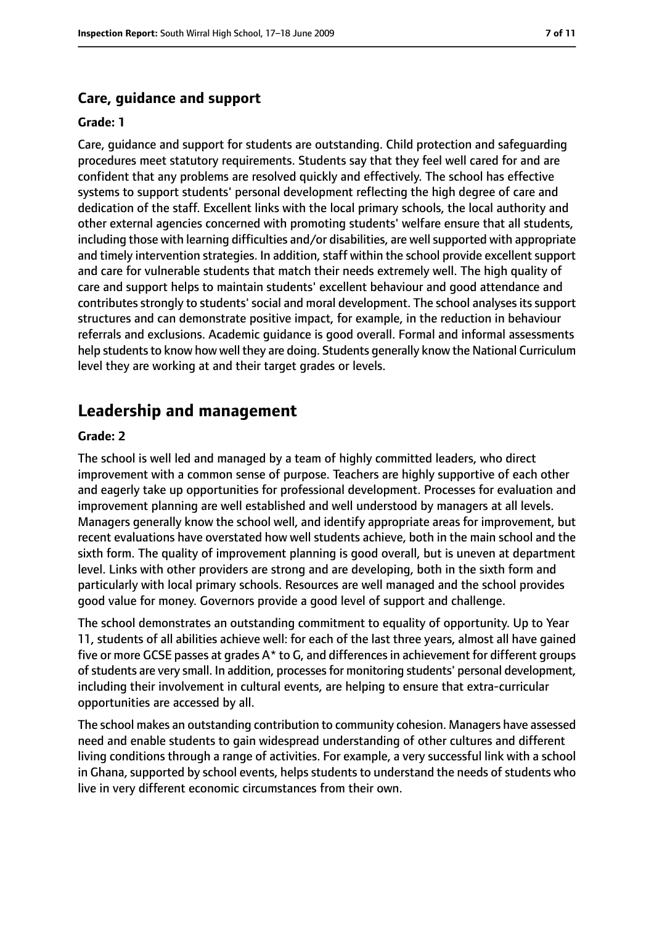#### **Care, guidance and support**

#### **Grade: 1**

Care, guidance and support for students are outstanding. Child protection and safeguarding procedures meet statutory requirements. Students say that they feel well cared for and are confident that any problems are resolved quickly and effectively. The school has effective systems to support students' personal development reflecting the high degree of care and dedication of the staff. Excellent links with the local primary schools, the local authority and other external agencies concerned with promoting students' welfare ensure that all students, including those with learning difficulties and/or disabilities, are well supported with appropriate and timely intervention strategies. In addition, staff within the school provide excellent support and care for vulnerable students that match their needs extremely well. The high quality of care and support helps to maintain students' excellent behaviour and good attendance and contributes strongly to students' social and moral development. The school analyses its support structures and can demonstrate positive impact, for example, in the reduction in behaviour referrals and exclusions. Academic guidance is good overall. Formal and informal assessments help students to know how well they are doing. Students generally know the National Curriculum level they are working at and their target grades or levels.

#### **Leadership and management**

#### **Grade: 2**

The school is well led and managed by a team of highly committed leaders, who direct improvement with a common sense of purpose. Teachers are highly supportive of each other and eagerly take up opportunities for professional development. Processes for evaluation and improvement planning are well established and well understood by managers at all levels. Managers generally know the school well, and identify appropriate areas for improvement, but recent evaluations have overstated how well students achieve, both in the main school and the sixth form. The quality of improvement planning is good overall, but is uneven at department level. Links with other providers are strong and are developing, both in the sixth form and particularly with local primary schools. Resources are well managed and the school provides good value for money. Governors provide a good level of support and challenge.

The school demonstrates an outstanding commitment to equality of opportunity. Up to Year 11, students of all abilities achieve well: for each of the last three years, almost all have gained five or more GCSE passes at grades A\* to G, and differences in achievement for different groups of students are very small. In addition, processes for monitoring students' personal development, including their involvement in cultural events, are helping to ensure that extra-curricular opportunities are accessed by all.

The school makes an outstanding contribution to community cohesion. Managers have assessed need and enable students to gain widespread understanding of other cultures and different living conditions through a range of activities. For example, a very successful link with a school in Ghana, supported by school events, helps students to understand the needs of students who live in very different economic circumstances from their own.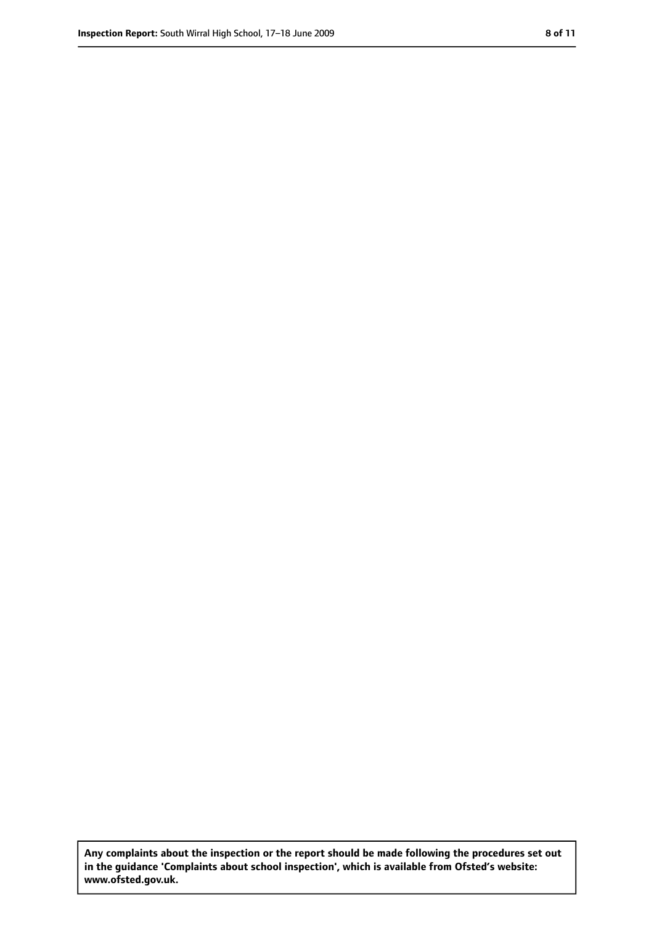**Any complaints about the inspection or the report should be made following the procedures set out in the guidance 'Complaints about school inspection', which is available from Ofsted's website: www.ofsted.gov.uk.**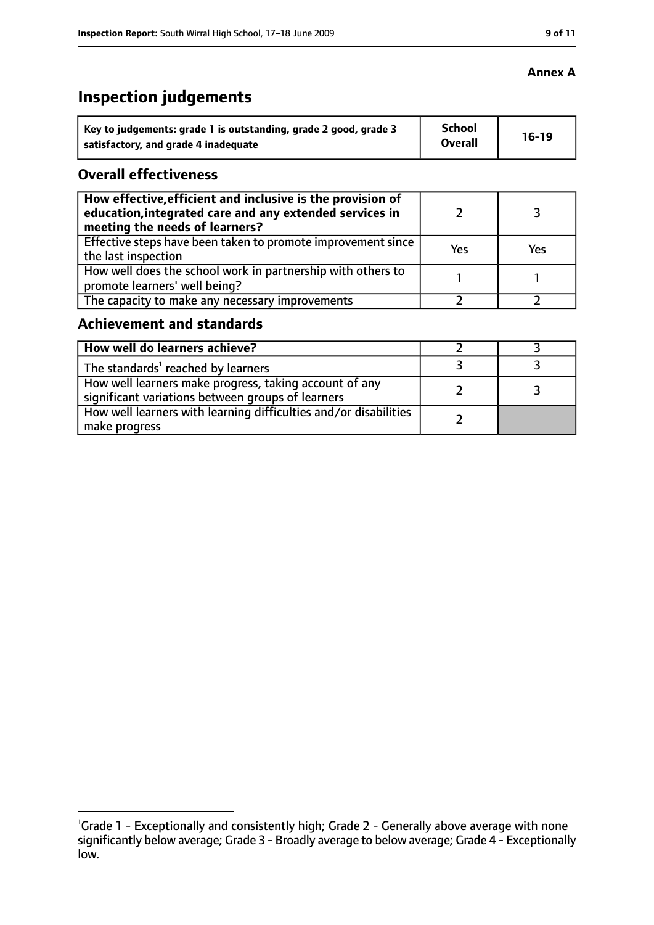# **Inspection judgements**

| Key to judgements: grade 1 is outstanding, grade 2 good, grade 3 | <b>School</b><br><b>Overall</b> | $16-19$ |
|------------------------------------------------------------------|---------------------------------|---------|
| satisfactory, and grade 4 inadequate                             |                                 |         |

#### **Overall effectiveness**

| How effective, efficient and inclusive is the provision of<br>education, integrated care and any extended services in<br>meeting the needs of learners? |     |     |
|---------------------------------------------------------------------------------------------------------------------------------------------------------|-----|-----|
| Effective steps have been taken to promote improvement since  <br>the last inspection                                                                   | Yes | Yes |
| How well does the school work in partnership with others to<br>promote learners' well being?                                                            |     |     |
| The capacity to make any necessary improvements                                                                                                         |     |     |

## **Achievement and standards**

| How well do learners achieve?                                                                               |  |
|-------------------------------------------------------------------------------------------------------------|--|
| The standards <sup>1</sup> reached by learners                                                              |  |
| How well learners make progress, taking account of any<br>significant variations between groups of learners |  |
| How well learners with learning difficulties and/or disabilities<br>make progress                           |  |

#### **Annex A**

<sup>&</sup>lt;sup>1</sup>Grade 1 - Exceptionally and consistently high; Grade 2 - Generally above average with none significantly below average; Grade 3 - Broadly average to below average; Grade 4 - Exceptionally low.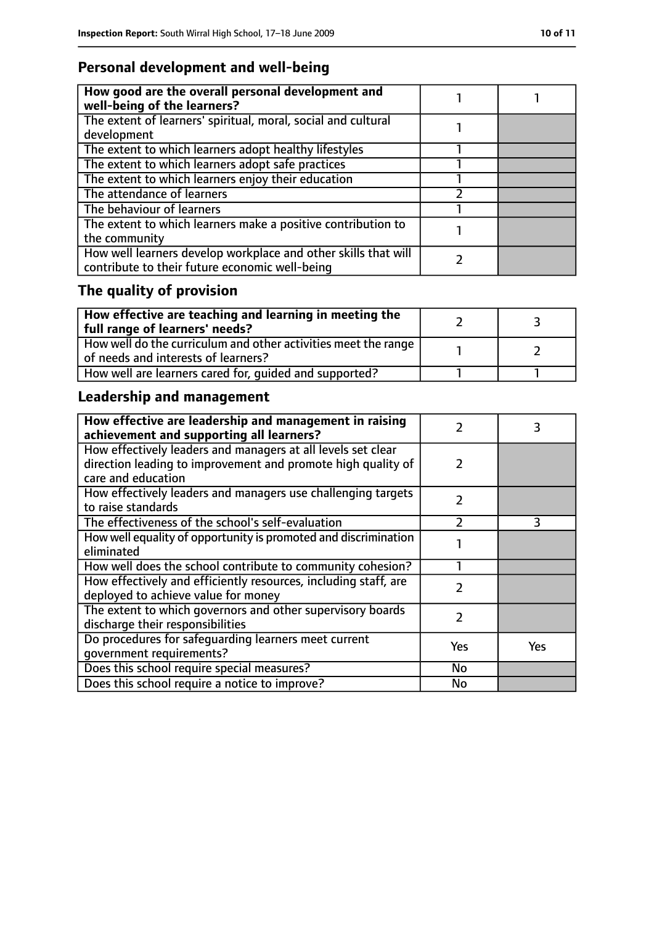## **Personal development and well-being**

| How good are the overall personal development and<br>well-being of the learners?                                 |  |
|------------------------------------------------------------------------------------------------------------------|--|
| The extent of learners' spiritual, moral, social and cultural<br>development                                     |  |
| The extent to which learners adopt healthy lifestyles                                                            |  |
| The extent to which learners adopt safe practices                                                                |  |
| The extent to which learners enjoy their education                                                               |  |
| The attendance of learners                                                                                       |  |
| The behaviour of learners                                                                                        |  |
| The extent to which learners make a positive contribution to<br>the community                                    |  |
| How well learners develop workplace and other skills that will<br>contribute to their future economic well-being |  |

# **The quality of provision**

| $\mid$ How effective are teaching and learning in meeting the<br>full range of learners' needs?       |  |
|-------------------------------------------------------------------------------------------------------|--|
| How well do the curriculum and other activities meet the range<br>of needs and interests of learners? |  |
| How well are learners cared for, quided and supported?                                                |  |

# **Leadership and management**

| How effective are leadership and management in raising<br>achievement and supporting all learners?                           |               | 3   |
|------------------------------------------------------------------------------------------------------------------------------|---------------|-----|
| How effectively leaders and managers at all levels set clear<br>direction leading to improvement and promote high quality of | $\mathcal{L}$ |     |
| care and education                                                                                                           |               |     |
| How effectively leaders and managers use challenging targets<br>to raise standards                                           | $\mathcal{P}$ |     |
| The effectiveness of the school's self-evaluation                                                                            | $\mathcal{P}$ | 3   |
| How well equality of opportunity is promoted and discrimination<br>eliminated                                                |               |     |
| How well does the school contribute to community cohesion?                                                                   |               |     |
| How effectively and efficiently resources, including staff, are<br>deployed to achieve value for money                       | $\mathcal{P}$ |     |
| The extent to which governors and other supervisory boards<br>discharge their responsibilities                               | 2             |     |
| Do procedures for safequarding learners meet current                                                                         | Yes           | Yes |
| qovernment requirements?                                                                                                     |               |     |
| Does this school require special measures?                                                                                   | No            |     |
| Does this school require a notice to improve?                                                                                | No            |     |